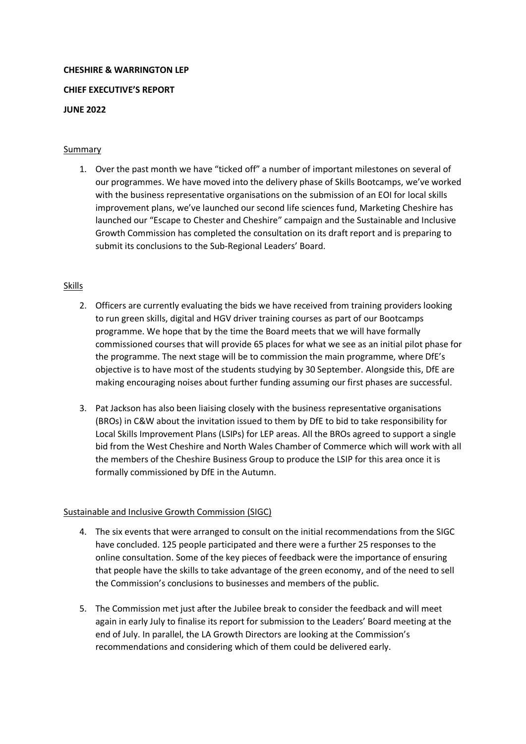# **CHESHIRE & WARRINGTON LEP**

### **CHIEF EXECUTIVE'S REPORT**

## **JUNE 2022**

## Summary

1. Over the past month we have "ticked off" a number of important milestones on several of our programmes. We have moved into the delivery phase of Skills Bootcamps, we've worked with the business representative organisations on the submission of an EOI for local skills improvement plans, we've launched our second life sciences fund, Marketing Cheshire has launched our "Escape to Chester and Cheshire" campaign and the Sustainable and Inclusive Growth Commission has completed the consultation on its draft report and is preparing to submit its conclusions to the Sub-Regional Leaders' Board.

## Skills

- 2. Officers are currently evaluating the bids we have received from training providers looking to run green skills, digital and HGV driver training courses as part of our Bootcamps programme. We hope that by the time the Board meets that we will have formally commissioned courses that will provide 65 places for what we see as an initial pilot phase for the programme. The next stage will be to commission the main programme, where DfE's objective is to have most of the students studying by 30 September. Alongside this, DfE are making encouraging noises about further funding assuming our first phases are successful.
- 3. Pat Jackson has also been liaising closely with the business representative organisations (BROs) in C&W about the invitation issued to them by DfE to bid to take responsibility for Local Skills Improvement Plans (LSIPs) for LEP areas. All the BROs agreed to support a single bid from the West Cheshire and North Wales Chamber of Commerce which will work with all the members of the Cheshire Business Group to produce the LSIP for this area once it is formally commissioned by DfE in the Autumn.

## Sustainable and Inclusive Growth Commission (SIGC)

- 4. The six events that were arranged to consult on the initial recommendations from the SIGC have concluded. 125 people participated and there were a further 25 responses to the online consultation. Some of the key pieces of feedback were the importance of ensuring that people have the skills to take advantage of the green economy, and of the need to sell the Commission's conclusions to businesses and members of the public.
- 5. The Commission met just after the Jubilee break to consider the feedback and will meet again in early July to finalise its report for submission to the Leaders' Board meeting at the end of July. In parallel, the LA Growth Directors are looking at the Commission's recommendations and considering which of them could be delivered early.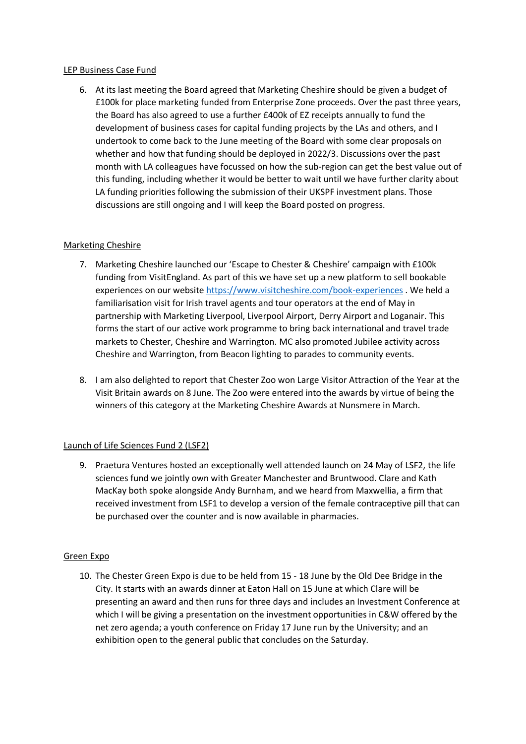#### LEP Business Case Fund

6. At its last meeting the Board agreed that Marketing Cheshire should be given a budget of £100k for place marketing funded from Enterprise Zone proceeds. Over the past three years, the Board has also agreed to use a further £400k of EZ receipts annually to fund the development of business cases for capital funding projects by the LAs and others, and I undertook to come back to the June meeting of the Board with some clear proposals on whether and how that funding should be deployed in 2022/3. Discussions over the past month with LA colleagues have focussed on how the sub-region can get the best value out of this funding, including whether it would be better to wait until we have further clarity about LA funding priorities following the submission of their UKSPF investment plans. Those discussions are still ongoing and I will keep the Board posted on progress.

## Marketing Cheshire

- 7. Marketing Cheshire launched our 'Escape to Chester & Cheshire' campaign with £100k funding from VisitEngland. As part of this we have set up a new platform to sell bookable experiences on our websit[e https://www.visitcheshire.com/book-experiences](https://www.visitcheshire.com/book-experiences) . We held a familiarisation visit for Irish travel agents and tour operators at the end of May in partnership with Marketing Liverpool, Liverpool Airport, Derry Airport and Loganair. This forms the start of our active work programme to bring back international and travel trade markets to Chester, Cheshire and Warrington. MC also promoted Jubilee activity across Cheshire and Warrington, from Beacon lighting to parades to community events.
- 8. I am also delighted to report that Chester Zoo won Large Visitor Attraction of the Year at the Visit Britain awards on 8 June. The Zoo were entered into the awards by virtue of being the winners of this category at the Marketing Cheshire Awards at Nunsmere in March.

## Launch of Life Sciences Fund 2 (LSF2)

9. Praetura Ventures hosted an exceptionally well attended launch on 24 May of LSF2, the life sciences fund we jointly own with Greater Manchester and Bruntwood. Clare and Kath MacKay both spoke alongside Andy Burnham, and we heard from Maxwellia, a firm that received investment from LSF1 to develop a version of the female contraceptive pill that can be purchased over the counter and is now available in pharmacies.

## Green Expo

10. The Chester Green Expo is due to be held from 15 - 18 June by the Old Dee Bridge in the City. It starts with an awards dinner at Eaton Hall on 15 June at which Clare will be presenting an award and then runs for three days and includes an Investment Conference at which I will be giving a presentation on the investment opportunities in C&W offered by the net zero agenda; a youth conference on Friday 17 June run by the University; and an exhibition open to the general public that concludes on the Saturday.